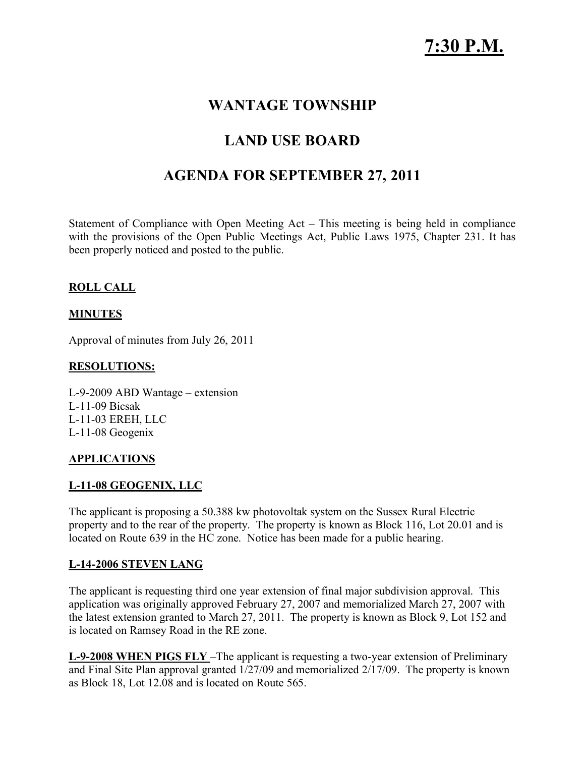## **WANTAGE TOWNSHIP**

# **LAND USE BOARD**

## **AGENDA FOR SEPTEMBER 27, 2011**

Statement of Compliance with Open Meeting Act – This meeting is being held in compliance with the provisions of the Open Public Meetings Act, Public Laws 1975, Chapter 231. It has been properly noticed and posted to the public.

#### **ROLL CALL**

#### **MINUTES**

Approval of minutes from July 26, 2011

#### **RESOLUTIONS:**

L-9-2009 ABD Wantage – extension L-11-09 Bicsak L-11-03 EREH, LLC L-11-08 Geogenix

#### **APPLICATIONS**

#### **L-11-08 GEOGENIX, LLC**

The applicant is proposing a 50.388 kw photovoltak system on the Sussex Rural Electric property and to the rear of the property. The property is known as Block 116, Lot 20.01 and is located on Route 639 in the HC zone. Notice has been made for a public hearing.

#### **L-14-2006 STEVEN LANG**

The applicant is requesting third one year extension of final major subdivision approval. This application was originally approved February 27, 2007 and memorialized March 27, 2007 with the latest extension granted to March 27, 2011. The property is known as Block 9, Lot 152 and is located on Ramsey Road in the RE zone.

**L-9-2008 WHEN PIGS FLY** –The applicant is requesting a two-year extension of Preliminary and Final Site Plan approval granted 1/27/09 and memorialized 2/17/09. The property is known as Block 18, Lot 12.08 and is located on Route 565.